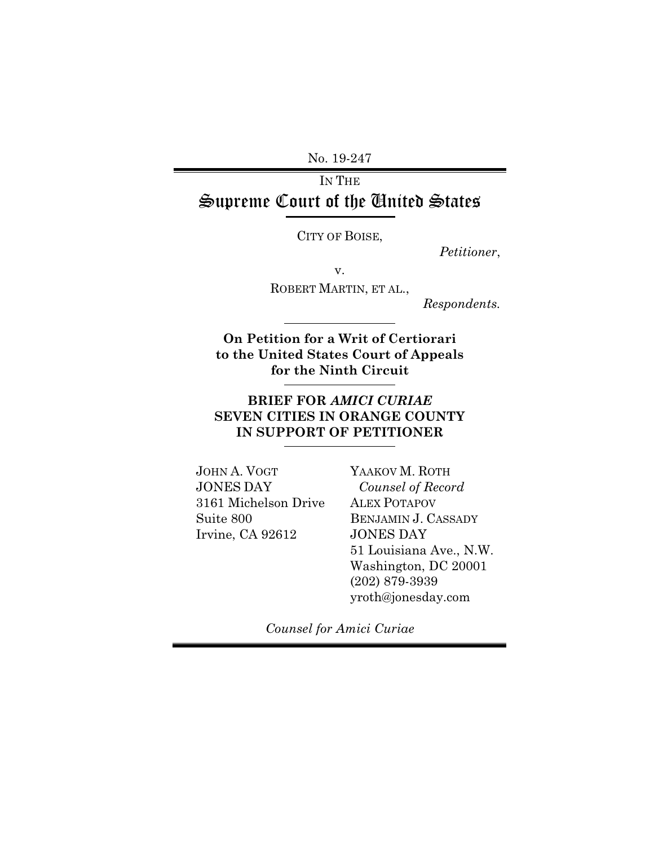No. 19-247

# IN THE Supreme Court of the United States

CITY OF BOISE,

 *Petitioner*,

v.

ROBERT MARTIN, ET AL.,

*Respondents.*

**On Petition for a Writ of Certiorari to the United States Court of Appeals for the Ninth Circuit** 

### **BRIEF FOR** *AMICI CURIAE* **SEVEN CITIES IN ORANGE COUNTY IN SUPPORT OF PETITIONER**

JOHN A. VOGT JONES DAY 3161 Michelson Drive Suite 800 Irvine, CA 92612

YAAKOV M. ROTH *Counsel of Record*  ALEX POTAPOV BENJAMIN J. CASSADY JONES DAY 51 Louisiana Ave., N.W. Washington, DC 20001 (202) 879-3939 yroth@jonesday.com

*Counsel for Amici Curiae*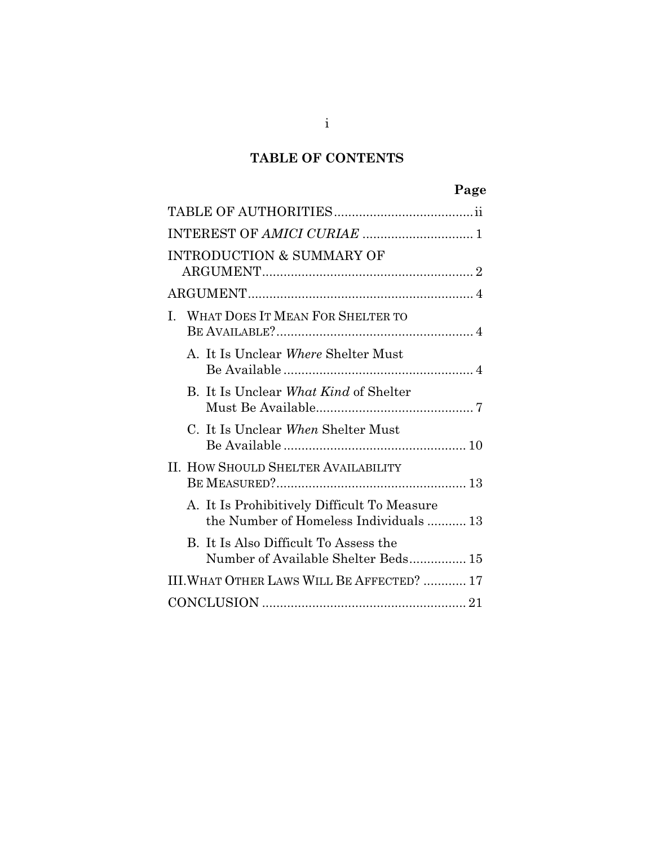## **TABLE OF CONTENTS**

| c<br>43<br>d<br>. .<br>۰. |
|---------------------------|
|---------------------------|

| INTEREST OF AMICI CURIAE  1                                                           |
|---------------------------------------------------------------------------------------|
| <b>INTRODUCTION &amp; SUMMARY OF</b>                                                  |
|                                                                                       |
| WHAT DOES IT MEAN FOR SHELTER TO<br>I.                                                |
| A. It Is Unclear Where Shelter Must                                                   |
| B. It Is Unclear What Kind of Shelter                                                 |
| C. It Is Unclear When Shelter Must                                                    |
| II. HOW SHOULD SHELTER AVAILABILITY                                                   |
| A. It Is Prohibitively Difficult To Measure<br>the Number of Homeless Individuals  13 |
| B. It Is Also Difficult To Assess the<br>Number of Available Shelter Beds 15          |
| III. WHAT OTHER LAWS WILL BE AFFECTED?  17                                            |
|                                                                                       |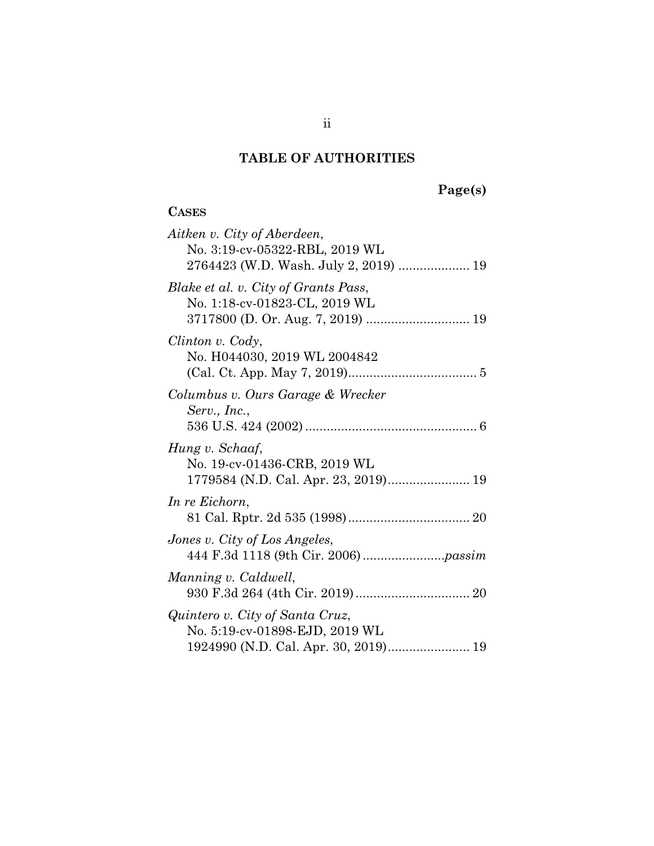## **TABLE OF AUTHORITIES**

# **Page(s)**

## **CASES**

| Aitken v. City of Aberdeen,<br>No. 3:19-cv-05322-RBL, 2019 WL<br>2764423 (W.D. Wash. July 2, 2019)  19    |
|-----------------------------------------------------------------------------------------------------------|
| Blake et al. v. City of Grants Pass,<br>No. 1:18-cv-01823-CL, 2019 WL                                     |
| Clinton v. Cody,<br>No. H044030, 2019 WL 2004842                                                          |
| Columbus v. Ours Garage & Wrecker<br>Serv., Inc.,                                                         |
| Hung v. Schaaf,<br>No. 19-cv-01436-CRB, 2019 WL<br>1779584 (N.D. Cal. Apr. 23, 2019) 19                   |
| In re Eichorn,                                                                                            |
| Jones v. City of Los Angeles,                                                                             |
| Manning v. Caldwell,                                                                                      |
| Quintero v. City of Santa Cruz,<br>No. 5:19-cv-01898-EJD, 2019 WL<br>1924990 (N.D. Cal. Apr. 30, 2019) 19 |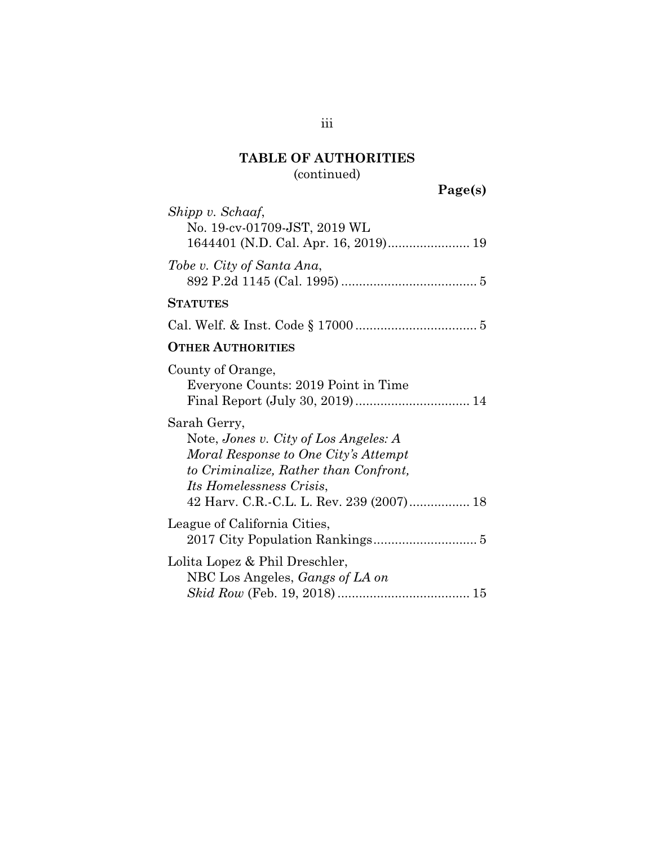# **TABLE OF AUTHORITIES**  (continued)

**Page(s)**

| Shipp v. Schaaf,<br>No. 19-cv-01709-JST, 2019 WL<br>1644401 (N.D. Cal. Apr. 16, 2019) 19                                                                                                                              |
|-----------------------------------------------------------------------------------------------------------------------------------------------------------------------------------------------------------------------|
| Tobe v. City of Santa Ana,                                                                                                                                                                                            |
| <b>STATUTES</b>                                                                                                                                                                                                       |
|                                                                                                                                                                                                                       |
| <b>OTHER AUTHORITIES</b>                                                                                                                                                                                              |
| County of Orange,<br>Everyone Counts: 2019 Point in Time<br>Final Report (July 30, 2019) 14                                                                                                                           |
| Sarah Gerry,<br>Note, Jones v. City of Los Angeles: A<br>Moral Response to One City's Attempt<br>to Criminalize, Rather than Confront,<br><i>Its Homelessness Crisis,</i><br>42 Harv. C.R.-C.L. L. Rev. 239 (2007) 18 |
| League of California Cities,                                                                                                                                                                                          |
| Lolita Lopez & Phil Dreschler,<br>NBC Los Angeles, <i>Gangs of LA on</i>                                                                                                                                              |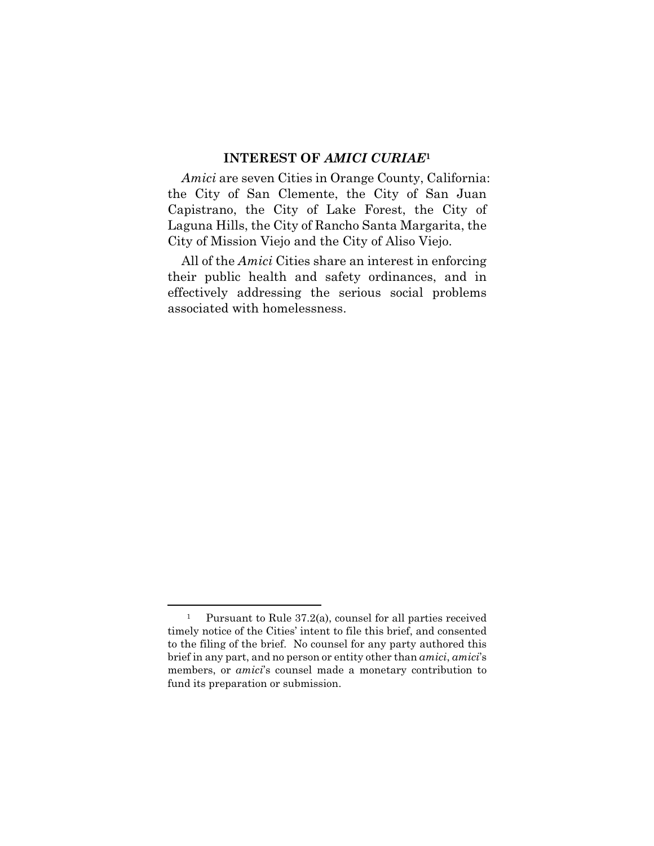#### **INTEREST OF** *AMICI CURIAE***<sup>1</sup>**

*Amici* are seven Cities in Orange County, California: the City of San Clemente, the City of San Juan Capistrano, the City of Lake Forest, the City of Laguna Hills, the City of Rancho Santa Margarita, the City of Mission Viejo and the City of Aliso Viejo.

All of the *Amici* Cities share an interest in enforcing their public health and safety ordinances, and in effectively addressing the serious social problems associated with homelessness.

<sup>&</sup>lt;sup>1</sup> Pursuant to Rule  $37.2(a)$ , counsel for all parties received timely notice of the Cities' intent to file this brief, and consented to the filing of the brief. No counsel for any party authored this brief in any part, and no person or entity other than *amici*, *amici*'s members, or *amici*'s counsel made a monetary contribution to fund its preparation or submission.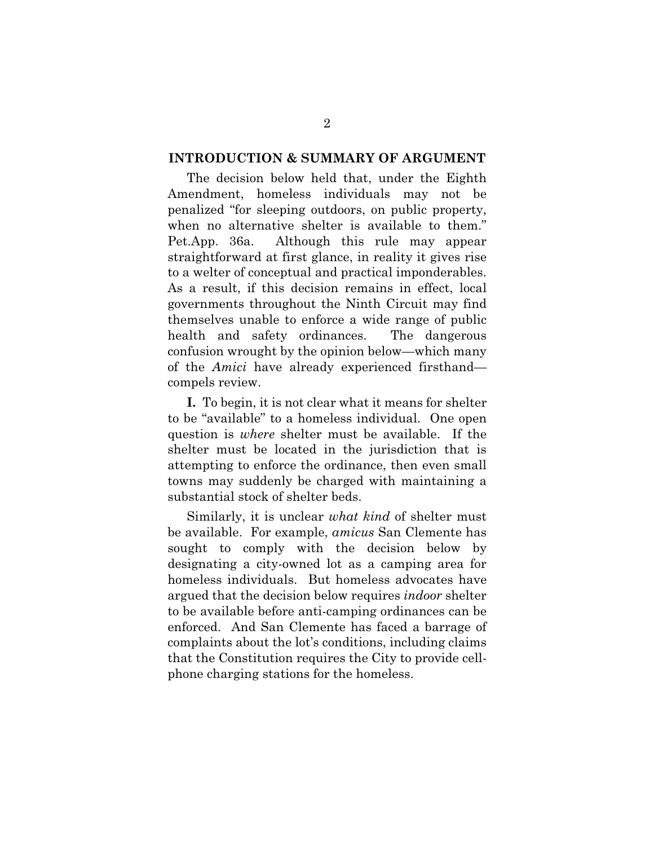#### **INTRODUCTION & SUMMARY OF ARGUMENT**

The decision below held that, under the Eighth Amendment, homeless individuals may not be penalized "for sleeping outdoors, on public property, when no alternative shelter is available to them." Pet.App. 36a. Although this rule may appear straightforward at first glance, in reality it gives rise to a welter of conceptual and practical imponderables. As a result, if this decision remains in effect, local governments throughout the Ninth Circuit may find themselves unable to enforce a wide range of public health and safety ordinances. The dangerous confusion wrought by the opinion below—which many of the *Amici* have already experienced firsthand compels review.

**I.** To begin, it is not clear what it means for shelter to be "available" to a homeless individual. One open question is *where* shelter must be available. If the shelter must be located in the jurisdiction that is attempting to enforce the ordinance, then even small towns may suddenly be charged with maintaining a substantial stock of shelter beds.

Similarly, it is unclear *what kind* of shelter must be available. For example, *amicus* San Clemente has sought to comply with the decision below by designating a city-owned lot as a camping area for homeless individuals. But homeless advocates have argued that the decision below requires *indoor* shelter to be available before anti-camping ordinances can be enforced. And San Clemente has faced a barrage of complaints about the lot's conditions, including claims that the Constitution requires the City to provide cellphone charging stations for the homeless.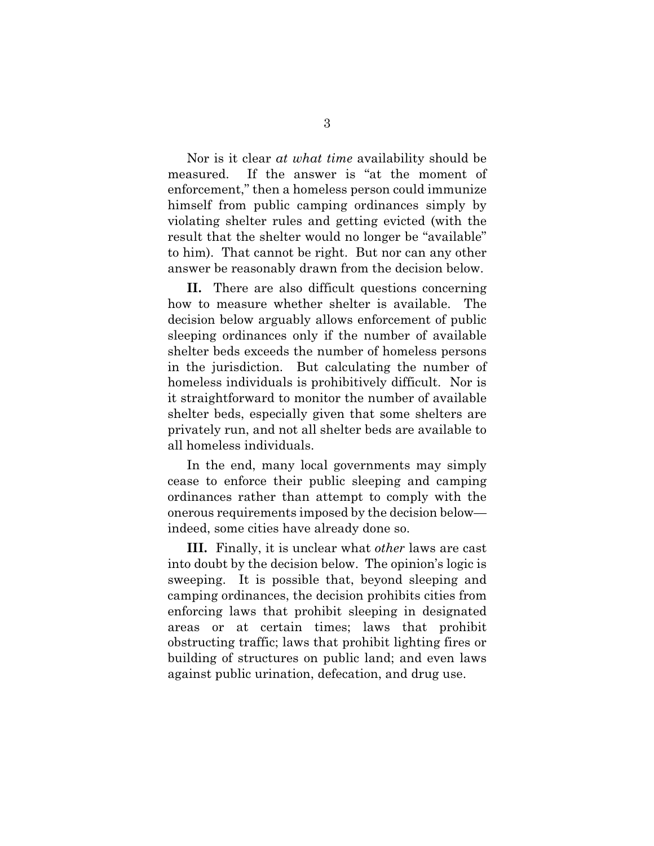Nor is it clear *at what time* availability should be measured. If the answer is "at the moment of enforcement," then a homeless person could immunize himself from public camping ordinances simply by violating shelter rules and getting evicted (with the result that the shelter would no longer be "available" to him). That cannot be right. But nor can any other answer be reasonably drawn from the decision below.

**II.** There are also difficult questions concerning how to measure whether shelter is available. The decision below arguably allows enforcement of public sleeping ordinances only if the number of available shelter beds exceeds the number of homeless persons in the jurisdiction. But calculating the number of homeless individuals is prohibitively difficult. Nor is it straightforward to monitor the number of available shelter beds, especially given that some shelters are privately run, and not all shelter beds are available to all homeless individuals.

In the end, many local governments may simply cease to enforce their public sleeping and camping ordinances rather than attempt to comply with the onerous requirements imposed by the decision below indeed, some cities have already done so.

**III.** Finally, it is unclear what *other* laws are cast into doubt by the decision below. The opinion's logic is sweeping. It is possible that, beyond sleeping and camping ordinances, the decision prohibits cities from enforcing laws that prohibit sleeping in designated areas or at certain times; laws that prohibit obstructing traffic; laws that prohibit lighting fires or building of structures on public land; and even laws against public urination, defecation, and drug use.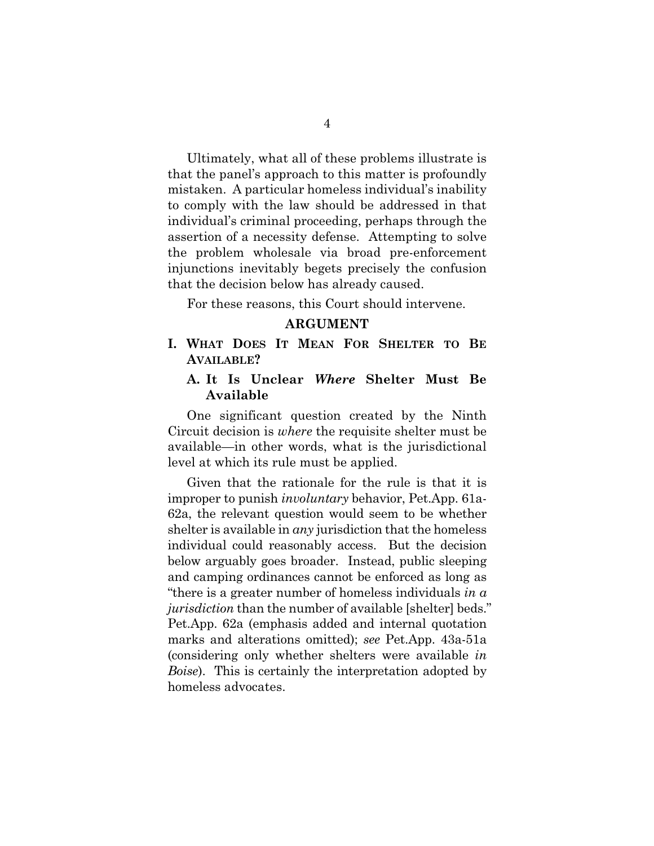Ultimately, what all of these problems illustrate is that the panel's approach to this matter is profoundly mistaken. A particular homeless individual's inability to comply with the law should be addressed in that individual's criminal proceeding, perhaps through the assertion of a necessity defense. Attempting to solve the problem wholesale via broad pre-enforcement injunctions inevitably begets precisely the confusion that the decision below has already caused.

For these reasons, this Court should intervene.

#### **ARGUMENT**

**I. WHAT DOES IT MEAN FOR SHELTER TO BE AVAILABLE?** 

#### **A. It Is Unclear** *Where* **Shelter Must Be Available**

One significant question created by the Ninth Circuit decision is *where* the requisite shelter must be available—in other words, what is the jurisdictional level at which its rule must be applied.

Given that the rationale for the rule is that it is improper to punish *involuntary* behavior, Pet.App. 61a-62a, the relevant question would seem to be whether shelter is available in *any* jurisdiction that the homeless individual could reasonably access. But the decision below arguably goes broader. Instead, public sleeping and camping ordinances cannot be enforced as long as "there is a greater number of homeless individuals *in a jurisdiction* than the number of available [shelter] beds." Pet.App. 62a (emphasis added and internal quotation marks and alterations omitted); *see* Pet.App. 43a-51a (considering only whether shelters were available *in Boise*). This is certainly the interpretation adopted by homeless advocates.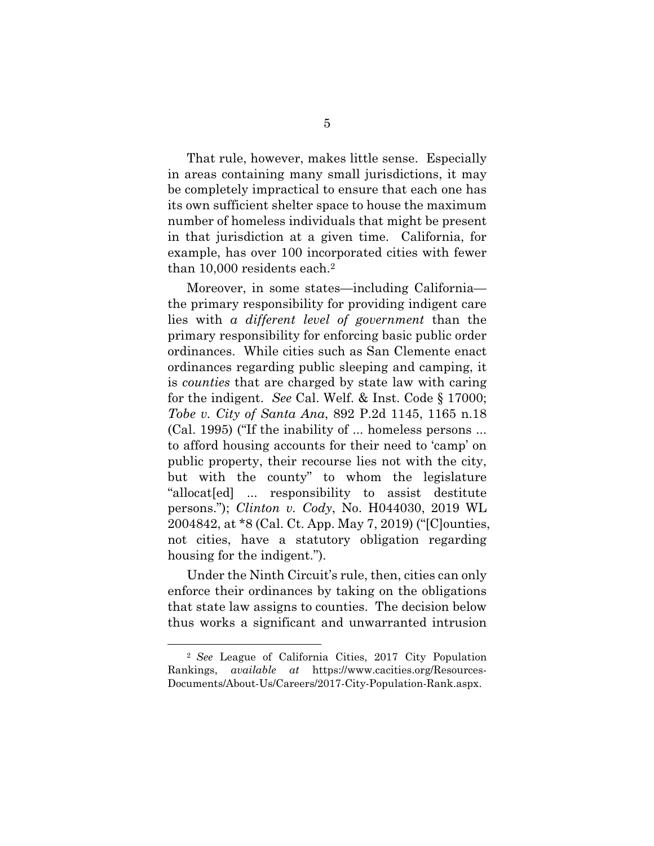That rule, however, makes little sense. Especially in areas containing many small jurisdictions, it may be completely impractical to ensure that each one has its own sufficient shelter space to house the maximum number of homeless individuals that might be present in that jurisdiction at a given time. California, for example, has over 100 incorporated cities with fewer than 10,000 residents each.2

Moreover, in some states—including California the primary responsibility for providing indigent care lies with *a different level of government* than the primary responsibility for enforcing basic public order ordinances. While cities such as San Clemente enact ordinances regarding public sleeping and camping, it is *counties* that are charged by state law with caring for the indigent. *See* Cal. Welf. & Inst. Code § 17000; *Tobe v. City of Santa Ana*, 892 P.2d 1145, 1165 n.18 (Cal. 1995) ("If the inability of ... homeless persons ... to afford housing accounts for their need to 'camp' on public property, their recourse lies not with the city, but with the county" to whom the legislature "allocat[ed] ... responsibility to assist destitute persons."); *Clinton v. Cody*, No. H044030, 2019 WL 2004842, at \*8 (Cal. Ct. App. May 7, 2019) ("[C]ounties, not cities, have a statutory obligation regarding housing for the indigent.").

Under the Ninth Circuit's rule, then, cities can only enforce their ordinances by taking on the obligations that state law assigns to counties. The decision below thus works a significant and unwarranted intrusion

<sup>2</sup> *See* League of California Cities, 2017 City Population Rankings, *available at* https://www.cacities.org/Resources-Documents/About-Us/Careers/2017-City-Population-Rank.aspx.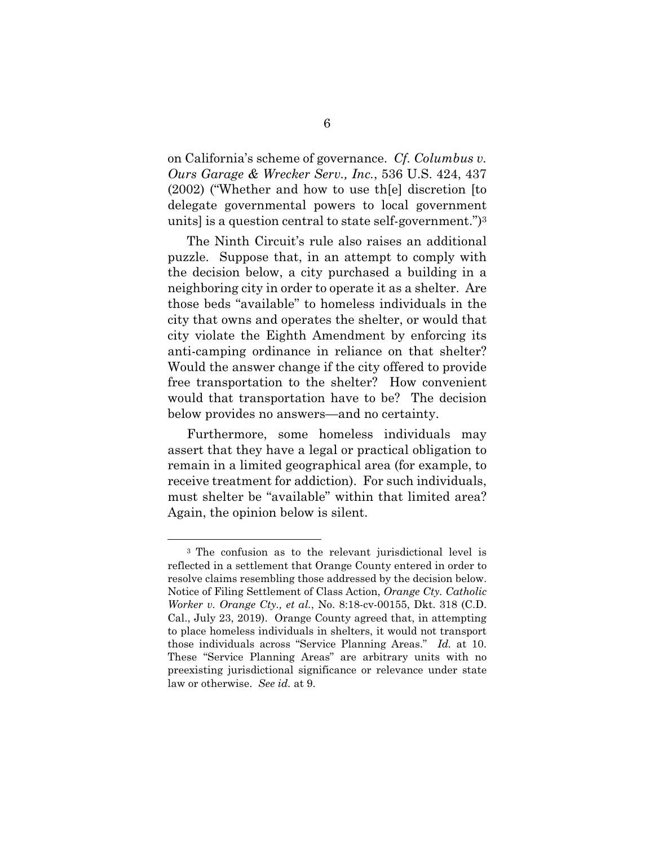on California's scheme of governance. *Cf. Columbus v. Ours Garage & Wrecker Serv., Inc.*, 536 U.S. 424, 437 (2002) ("Whether and how to use th[e] discretion [to delegate governmental powers to local government units] is a question central to state self-government.")3

The Ninth Circuit's rule also raises an additional puzzle. Suppose that, in an attempt to comply with the decision below, a city purchased a building in a neighboring city in order to operate it as a shelter. Are those beds "available" to homeless individuals in the city that owns and operates the shelter, or would that city violate the Eighth Amendment by enforcing its anti-camping ordinance in reliance on that shelter? Would the answer change if the city offered to provide free transportation to the shelter? How convenient would that transportation have to be? The decision below provides no answers—and no certainty.

Furthermore, some homeless individuals may assert that they have a legal or practical obligation to remain in a limited geographical area (for example, to receive treatment for addiction). For such individuals, must shelter be "available" within that limited area? Again, the opinion below is silent.

<sup>3</sup> The confusion as to the relevant jurisdictional level is reflected in a settlement that Orange County entered in order to resolve claims resembling those addressed by the decision below. Notice of Filing Settlement of Class Action, *Orange Cty. Catholic Worker v. Orange Cty., et al.*, No. 8:18-cv-00155, Dkt. 318 (C.D. Cal., July 23, 2019). Orange County agreed that, in attempting to place homeless individuals in shelters, it would not transport those individuals across "Service Planning Areas." *Id.* at 10. These "Service Planning Areas" are arbitrary units with no preexisting jurisdictional significance or relevance under state law or otherwise. *See id.* at 9.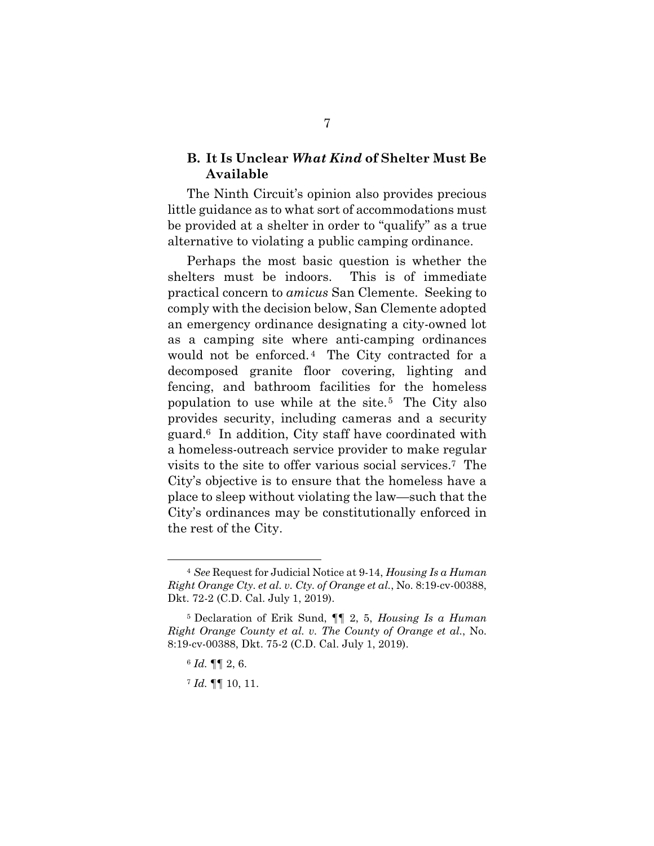#### **B. It Is Unclear** *What Kind* **of Shelter Must Be Available**

The Ninth Circuit's opinion also provides precious little guidance as to what sort of accommodations must be provided at a shelter in order to "qualify" as a true alternative to violating a public camping ordinance.

Perhaps the most basic question is whether the shelters must be indoors. This is of immediate practical concern to *amicus* San Clemente. Seeking to comply with the decision below, San Clemente adopted an emergency ordinance designating a city-owned lot as a camping site where anti-camping ordinances would not be enforced.<sup>4</sup> The City contracted for a decomposed granite floor covering, lighting and fencing, and bathroom facilities for the homeless population to use while at the site.5 The City also provides security, including cameras and a security guard.6 In addition, City staff have coordinated with a homeless-outreach service provider to make regular visits to the site to offer various social services.7 The City's objective is to ensure that the homeless have a place to sleep without violating the law—such that the City's ordinances may be constitutionally enforced in the rest of the City.

<u>.</u>

<sup>4</sup> *See* Request for Judicial Notice at 9-14, *Housing Is a Human Right Orange Cty. et al. v. Cty. of Orange et al.*, No. 8:19-cv-00388, Dkt. 72-2 (C.D. Cal. July 1, 2019).

<sup>5</sup> Declaration of Erik Sund, ¶¶ 2, 5, *Housing Is a Human Right Orange County et al. v. The County of Orange et al.*, No. 8:19-cv-00388, Dkt. 75-2 (C.D. Cal. July 1, 2019).

<sup>6</sup> *Id.* ¶¶ 2, 6.

<sup>7</sup> *Id.* ¶¶ 10, 11.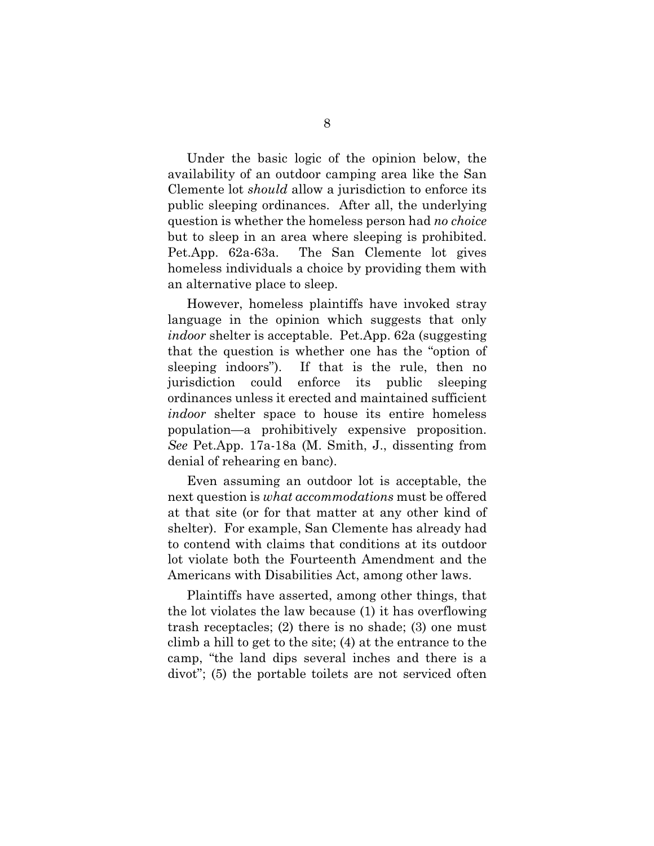Under the basic logic of the opinion below, the availability of an outdoor camping area like the San Clemente lot *should* allow a jurisdiction to enforce its public sleeping ordinances. After all, the underlying question is whether the homeless person had *no choice*  but to sleep in an area where sleeping is prohibited. Pet.App. 62a-63a. The San Clemente lot gives homeless individuals a choice by providing them with an alternative place to sleep.

However, homeless plaintiffs have invoked stray language in the opinion which suggests that only *indoor* shelter is acceptable. Pet.App. 62a (suggesting that the question is whether one has the "option of sleeping indoors"). If that is the rule, then no jurisdiction could enforce its public sleeping ordinances unless it erected and maintained sufficient *indoor* shelter space to house its entire homeless population—a prohibitively expensive proposition. *See* Pet.App. 17a-18a (M. Smith, J., dissenting from denial of rehearing en banc).

Even assuming an outdoor lot is acceptable, the next question is *what accommodations* must be offered at that site (or for that matter at any other kind of shelter). For example, San Clemente has already had to contend with claims that conditions at its outdoor lot violate both the Fourteenth Amendment and the Americans with Disabilities Act, among other laws.

Plaintiffs have asserted, among other things, that the lot violates the law because (1) it has overflowing trash receptacles; (2) there is no shade; (3) one must climb a hill to get to the site; (4) at the entrance to the camp, "the land dips several inches and there is a divot"; (5) the portable toilets are not serviced often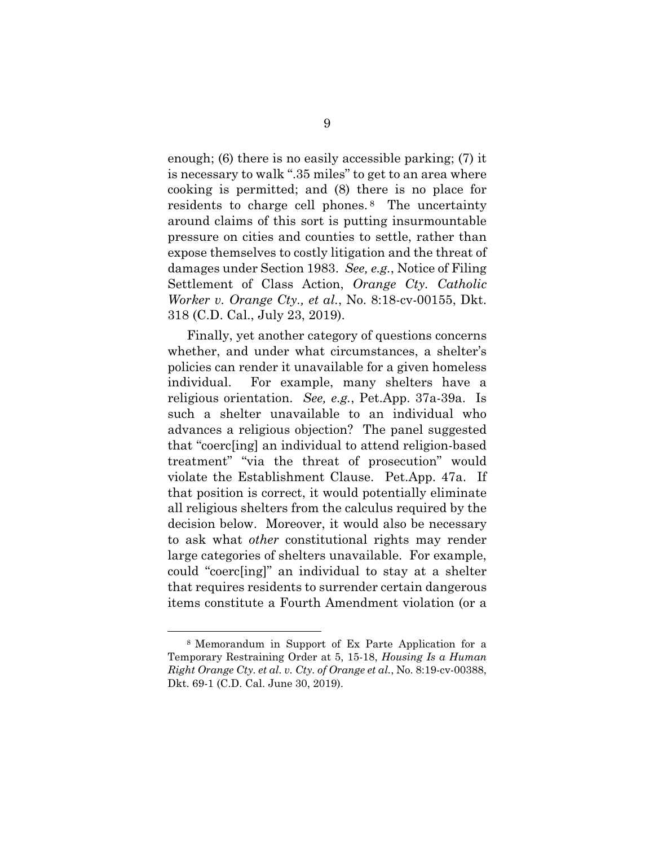enough; (6) there is no easily accessible parking; (7) it is necessary to walk ".35 miles" to get to an area where cooking is permitted; and (8) there is no place for residents to charge cell phones. 8 The uncertainty around claims of this sort is putting insurmountable pressure on cities and counties to settle, rather than expose themselves to costly litigation and the threat of damages under Section 1983. *See, e.g.*, Notice of Filing Settlement of Class Action, *Orange Cty. Catholic Worker v. Orange Cty., et al.*, No. 8:18-cv-00155, Dkt. 318 (C.D. Cal., July 23, 2019).

Finally, yet another category of questions concerns whether, and under what circumstances, a shelter's policies can render it unavailable for a given homeless individual. For example, many shelters have a religious orientation. *See, e.g.*, Pet.App. 37a-39a. Is such a shelter unavailable to an individual who advances a religious objection? The panel suggested that "coerc[ing] an individual to attend religion-based treatment" "via the threat of prosecution" would violate the Establishment Clause. Pet.App. 47a. If that position is correct, it would potentially eliminate all religious shelters from the calculus required by the decision below. Moreover, it would also be necessary to ask what *other* constitutional rights may render large categories of shelters unavailable. For example, could "coerc[ing]" an individual to stay at a shelter that requires residents to surrender certain dangerous items constitute a Fourth Amendment violation (or a

<sup>8</sup> Memorandum in Support of Ex Parte Application for a Temporary Restraining Order at 5, 15-18, *Housing Is a Human Right Orange Cty. et al. v. Cty. of Orange et al.*, No. 8:19-cv-00388, Dkt. 69-1 (C.D. Cal. June 30, 2019).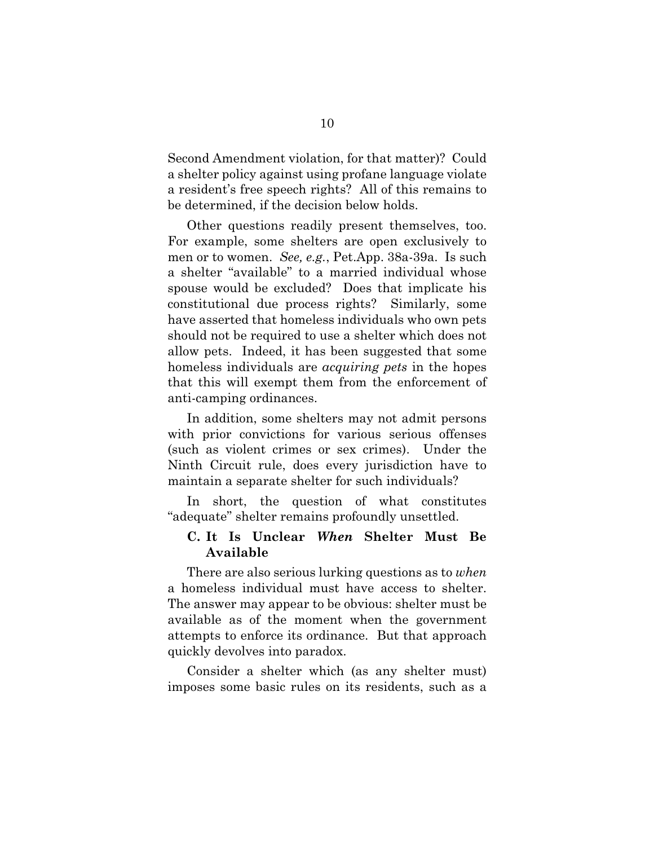Second Amendment violation, for that matter)? Could a shelter policy against using profane language violate a resident's free speech rights? All of this remains to be determined, if the decision below holds.

Other questions readily present themselves, too. For example, some shelters are open exclusively to men or to women. *See, e.g.*, Pet.App. 38a-39a. Is such a shelter "available" to a married individual whose spouse would be excluded? Does that implicate his constitutional due process rights? Similarly, some have asserted that homeless individuals who own pets should not be required to use a shelter which does not allow pets. Indeed, it has been suggested that some homeless individuals are *acquiring pets* in the hopes that this will exempt them from the enforcement of anti-camping ordinances.

In addition, some shelters may not admit persons with prior convictions for various serious offenses (such as violent crimes or sex crimes). Under the Ninth Circuit rule, does every jurisdiction have to maintain a separate shelter for such individuals?

In short, the question of what constitutes "adequate" shelter remains profoundly unsettled.

### **C. It Is Unclear** *When* **Shelter Must Be Available**

There are also serious lurking questions as to *when*  a homeless individual must have access to shelter. The answer may appear to be obvious: shelter must be available as of the moment when the government attempts to enforce its ordinance. But that approach quickly devolves into paradox.

Consider a shelter which (as any shelter must) imposes some basic rules on its residents, such as a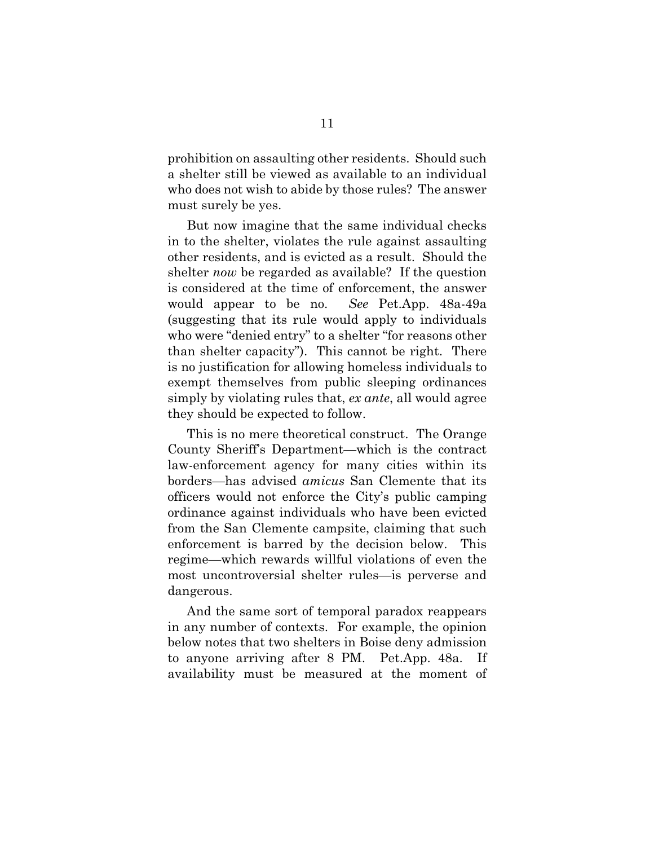prohibition on assaulting other residents. Should such a shelter still be viewed as available to an individual who does not wish to abide by those rules? The answer must surely be yes.

But now imagine that the same individual checks in to the shelter, violates the rule against assaulting other residents, and is evicted as a result. Should the shelter *now* be regarded as available? If the question is considered at the time of enforcement, the answer would appear to be no. *See* Pet.App. 48a-49a (suggesting that its rule would apply to individuals who were "denied entry" to a shelter "for reasons other than shelter capacity"). This cannot be right. There is no justification for allowing homeless individuals to exempt themselves from public sleeping ordinances simply by violating rules that, *ex ante*, all would agree they should be expected to follow.

This is no mere theoretical construct. The Orange County Sheriff's Department—which is the contract law-enforcement agency for many cities within its borders—has advised *amicus* San Clemente that its officers would not enforce the City's public camping ordinance against individuals who have been evicted from the San Clemente campsite, claiming that such enforcement is barred by the decision below. This regime—which rewards willful violations of even the most uncontroversial shelter rules—is perverse and dangerous.

And the same sort of temporal paradox reappears in any number of contexts. For example, the opinion below notes that two shelters in Boise deny admission to anyone arriving after 8 PM. Pet.App. 48a. If availability must be measured at the moment of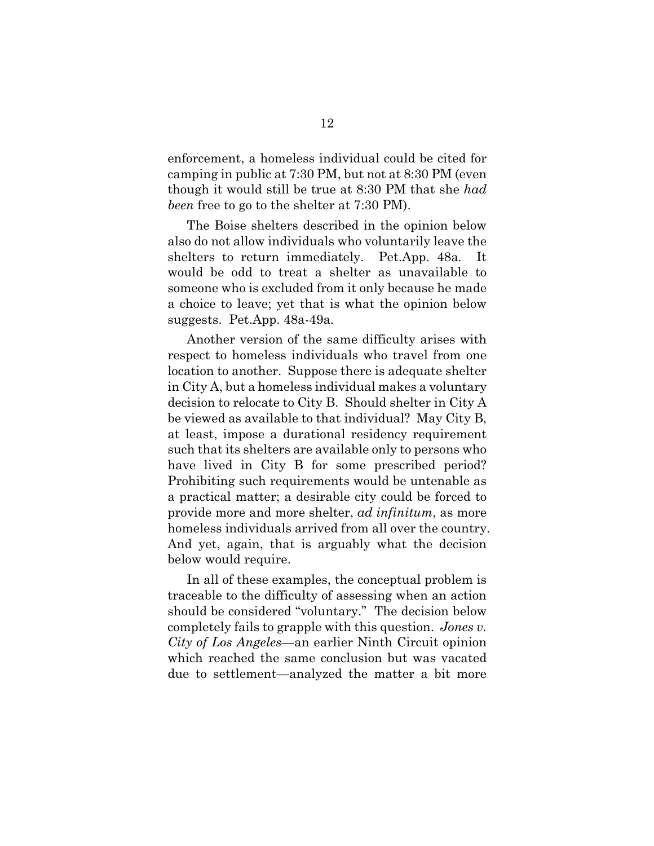enforcement, a homeless individual could be cited for camping in public at 7:30 PM, but not at 8:30 PM (even though it would still be true at 8:30 PM that she *had been* free to go to the shelter at 7:30 PM).

The Boise shelters described in the opinion below also do not allow individuals who voluntarily leave the shelters to return immediately. Pet.App. 48a*.* It would be odd to treat a shelter as unavailable to someone who is excluded from it only because he made a choice to leave; yet that is what the opinion below suggests. Pet.App. 48a-49a*.* 

Another version of the same difficulty arises with respect to homeless individuals who travel from one location to another. Suppose there is adequate shelter in City A, but a homeless individual makes a voluntary decision to relocate to City B. Should shelter in City A be viewed as available to that individual? May City B, at least, impose a durational residency requirement such that its shelters are available only to persons who have lived in City B for some prescribed period? Prohibiting such requirements would be untenable as a practical matter; a desirable city could be forced to provide more and more shelter, *ad infinitum*, as more homeless individuals arrived from all over the country. And yet, again, that is arguably what the decision below would require.

In all of these examples, the conceptual problem is traceable to the difficulty of assessing when an action should be considered "voluntary." The decision below completely fails to grapple with this question. *Jones v. City of Los Angeles*—an earlier Ninth Circuit opinion which reached the same conclusion but was vacated due to settlement—analyzed the matter a bit more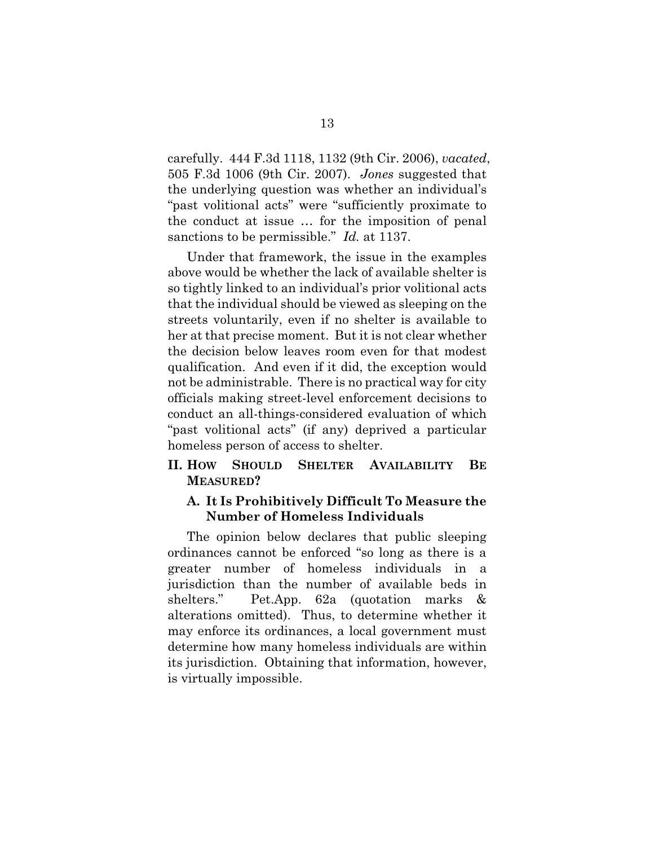carefully. 444 F.3d 1118, 1132 (9th Cir. 2006), *vacated*, 505 F.3d 1006 (9th Cir. 2007). *Jones* suggested that the underlying question was whether an individual's "past volitional acts" were "sufficiently proximate to the conduct at issue … for the imposition of penal sanctions to be permissible." *Id.* at 1137.

Under that framework, the issue in the examples above would be whether the lack of available shelter is so tightly linked to an individual's prior volitional acts that the individual should be viewed as sleeping on the streets voluntarily, even if no shelter is available to her at that precise moment. But it is not clear whether the decision below leaves room even for that modest qualification. And even if it did, the exception would not be administrable. There is no practical way for city officials making street-level enforcement decisions to conduct an all-things-considered evaluation of which "past volitional acts" (if any) deprived a particular homeless person of access to shelter.

#### **II. HOW SHOULD SHELTER AVAILABILITY BE MEASURED?**

#### **A. It Is Prohibitively Difficult To Measure the Number of Homeless Individuals**

The opinion below declares that public sleeping ordinances cannot be enforced "so long as there is a greater number of homeless individuals in a jurisdiction than the number of available beds in shelters." Pet.App. 62a (quotation marks & alterations omitted). Thus, to determine whether it may enforce its ordinances, a local government must determine how many homeless individuals are within its jurisdiction. Obtaining that information, however, is virtually impossible.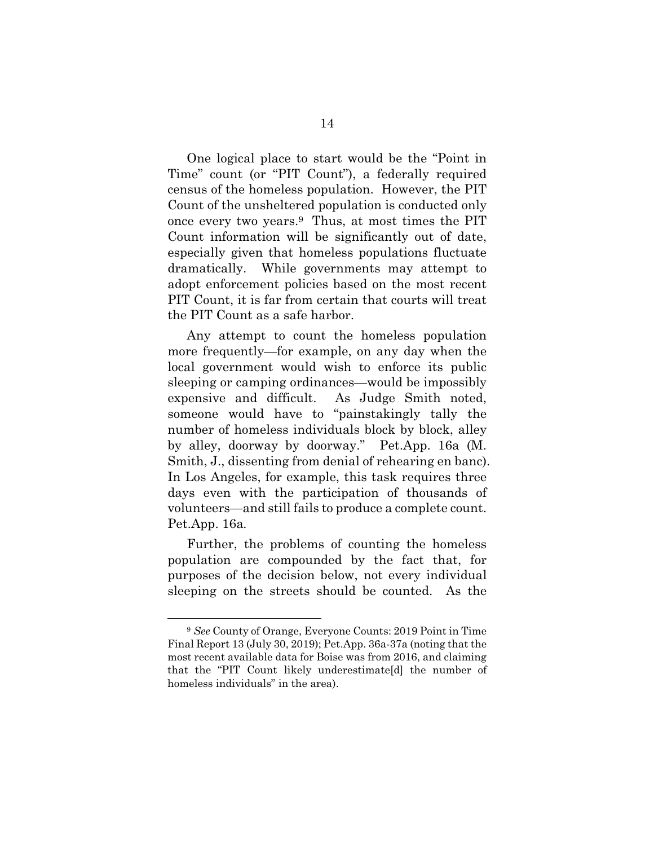One logical place to start would be the "Point in Time" count (or "PIT Count"), a federally required census of the homeless population. However, the PIT Count of the unsheltered population is conducted only once every two years.9 Thus, at most times the PIT Count information will be significantly out of date, especially given that homeless populations fluctuate dramatically. While governments may attempt to adopt enforcement policies based on the most recent PIT Count, it is far from certain that courts will treat the PIT Count as a safe harbor.

Any attempt to count the homeless population more frequently—for example, on any day when the local government would wish to enforce its public sleeping or camping ordinances—would be impossibly expensive and difficult. As Judge Smith noted, someone would have to "painstakingly tally the number of homeless individuals block by block, alley by alley, doorway by doorway." Pet.App. 16a (M. Smith, J., dissenting from denial of rehearing en banc). In Los Angeles, for example, this task requires three days even with the participation of thousands of volunteers—and still fails to produce a complete count. Pet.App. 16a*.*

Further, the problems of counting the homeless population are compounded by the fact that, for purposes of the decision below, not every individual sleeping on the streets should be counted. As the

<u>.</u>

<sup>9</sup> *See* County of Orange, Everyone Counts: 2019 Point in Time Final Report 13 (July 30, 2019); Pet.App. 36a-37a (noting that the most recent available data for Boise was from 2016, and claiming that the "PIT Count likely underestimate[d] the number of homeless individuals" in the area).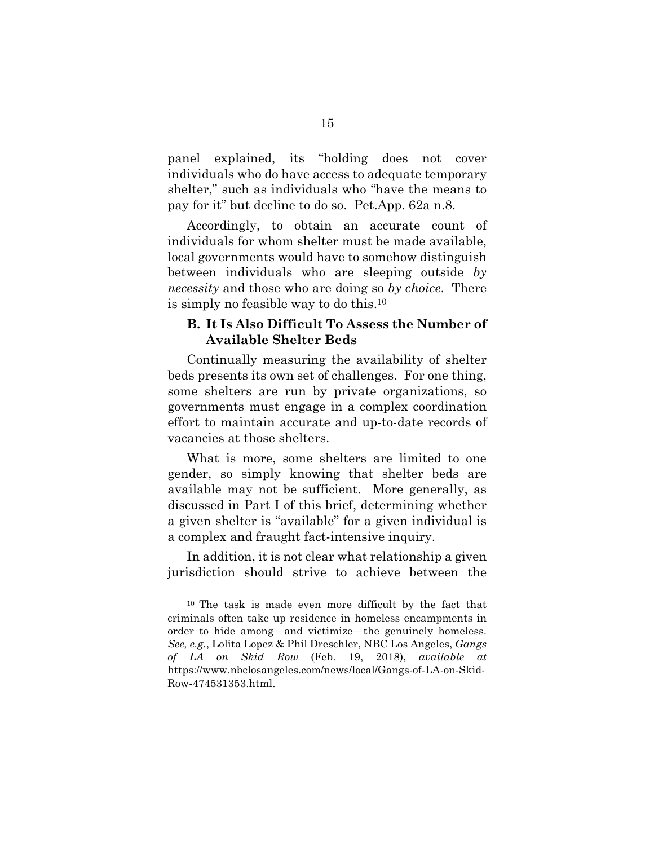panel explained, its "holding does not cover individuals who do have access to adequate temporary shelter," such as individuals who "have the means to pay for it" but decline to do so. Pet.App. 62a n.8.

Accordingly, to obtain an accurate count of individuals for whom shelter must be made available, local governments would have to somehow distinguish between individuals who are sleeping outside *by necessity* and those who are doing so *by choice*. There is simply no feasible way to do this.10

#### **B. It Is Also Difficult To Assess the Number of Available Shelter Beds**

Continually measuring the availability of shelter beds presents its own set of challenges. For one thing, some shelters are run by private organizations, so governments must engage in a complex coordination effort to maintain accurate and up-to-date records of vacancies at those shelters.

What is more, some shelters are limited to one gender, so simply knowing that shelter beds are available may not be sufficient. More generally, as discussed in Part I of this brief, determining whether a given shelter is "available" for a given individual is a complex and fraught fact-intensive inquiry.

In addition, it is not clear what relationship a given jurisdiction should strive to achieve between the

<sup>10</sup> The task is made even more difficult by the fact that criminals often take up residence in homeless encampments in order to hide among—and victimize—the genuinely homeless. *See, e.g.*, Lolita Lopez & Phil Dreschler, NBC Los Angeles, *Gangs of LA on Skid Row* (Feb. 19, 2018), *available at*  https://www.nbclosangeles.com/news/local/Gangs-of-LA-on-Skid-Row-474531353.html.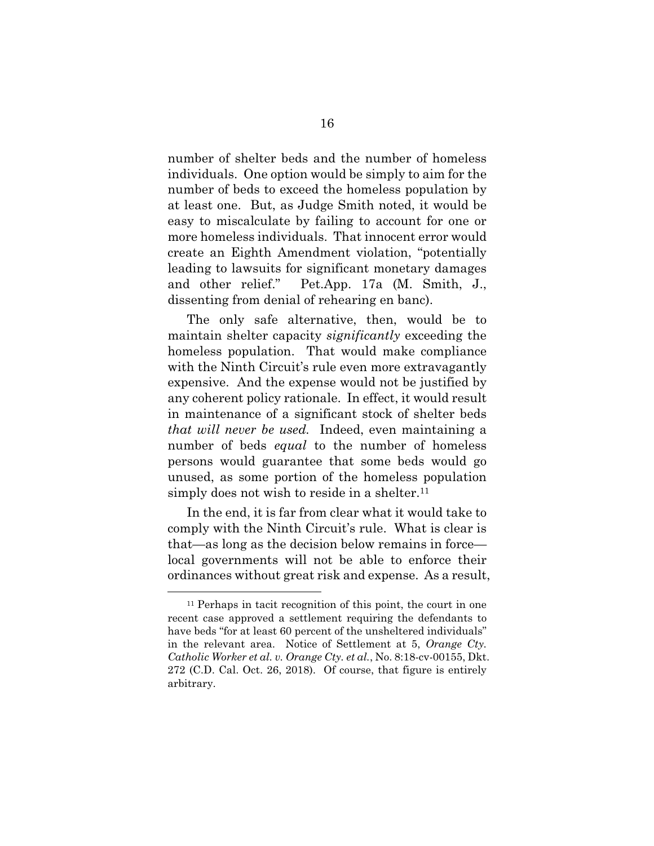number of shelter beds and the number of homeless individuals. One option would be simply to aim for the number of beds to exceed the homeless population by at least one. But, as Judge Smith noted, it would be easy to miscalculate by failing to account for one or more homeless individuals. That innocent error would create an Eighth Amendment violation, "potentially leading to lawsuits for significant monetary damages and other relief." Pet.App. 17a (M. Smith, J., dissenting from denial of rehearing en banc).

The only safe alternative, then, would be to maintain shelter capacity *significantly* exceeding the homeless population. That would make compliance with the Ninth Circuit's rule even more extravagantly expensive. And the expense would not be justified by any coherent policy rationale. In effect, it would result in maintenance of a significant stock of shelter beds *that will never be used.* Indeed, even maintaining a number of beds *equal* to the number of homeless persons would guarantee that some beds would go unused, as some portion of the homeless population simply does not wish to reside in a shelter.<sup>11</sup>

In the end, it is far from clear what it would take to comply with the Ninth Circuit's rule. What is clear is that—as long as the decision below remains in force local governments will not be able to enforce their ordinances without great risk and expense. As a result,

<sup>11</sup> Perhaps in tacit recognition of this point, the court in one recent case approved a settlement requiring the defendants to have beds "for at least 60 percent of the unsheltered individuals" in the relevant area. Notice of Settlement at 5, *Orange Cty. Catholic Worker et al. v. Orange Cty. et al.*, No. 8:18-cv-00155, Dkt. 272 (C.D. Cal. Oct. 26, 2018). Of course, that figure is entirely arbitrary.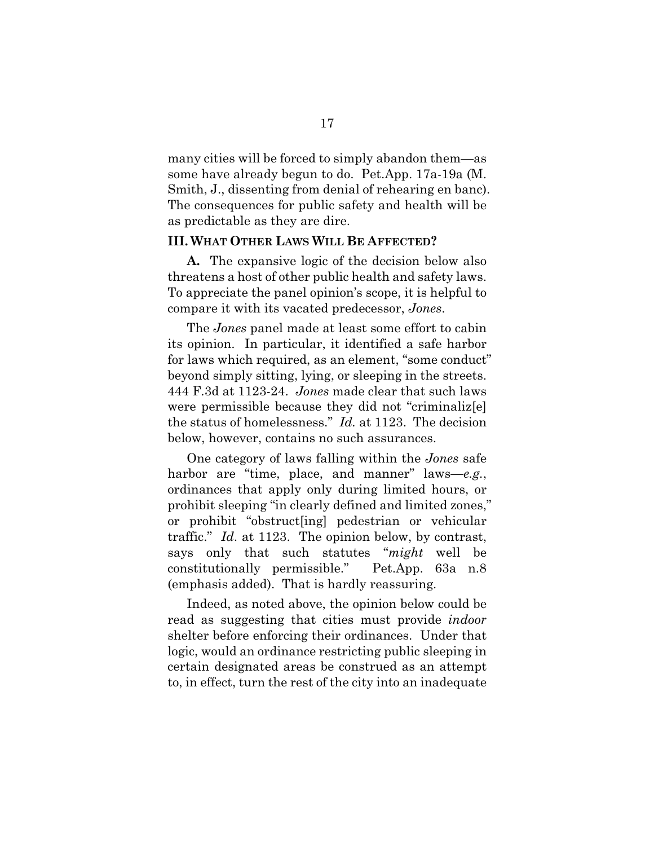many cities will be forced to simply abandon them—as some have already begun to do. Pet.App. 17a-19a (M. Smith, J., dissenting from denial of rehearing en banc). The consequences for public safety and health will be as predictable as they are dire.

#### **III. WHAT OTHER LAWS WILL BE AFFECTED?**

**A.** The expansive logic of the decision below also threatens a host of other public health and safety laws. To appreciate the panel opinion's scope, it is helpful to compare it with its vacated predecessor, *Jones*.

The *Jones* panel made at least some effort to cabin its opinion. In particular, it identified a safe harbor for laws which required, as an element, "some conduct" beyond simply sitting, lying, or sleeping in the streets. 444 F.3d at 1123-24. *Jones* made clear that such laws were permissible because they did not "criminaliz[e] the status of homelessness." *Id.* at 1123. The decision below, however, contains no such assurances.

One category of laws falling within the *Jones* safe harbor are "time, place, and manner" laws—*e.g.*, ordinances that apply only during limited hours, or prohibit sleeping "in clearly defined and limited zones," or prohibit "obstruct[ing] pedestrian or vehicular traffic." *Id*. at 1123. The opinion below, by contrast, says only that such statutes "*might* well be constitutionally permissible." Pet.App. 63a n.8 (emphasis added). That is hardly reassuring*.*

Indeed, as noted above, the opinion below could be read as suggesting that cities must provide *indoor*  shelter before enforcing their ordinances. Under that logic, would an ordinance restricting public sleeping in certain designated areas be construed as an attempt to, in effect, turn the rest of the city into an inadequate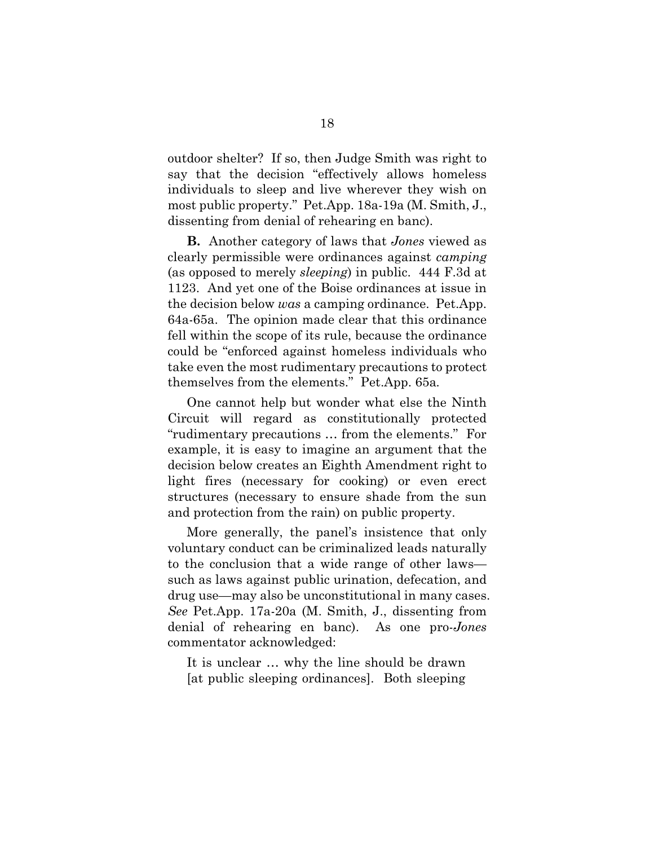outdoor shelter? If so, then Judge Smith was right to say that the decision "effectively allows homeless individuals to sleep and live wherever they wish on most public property." Pet.App. 18a-19a (M. Smith, J., dissenting from denial of rehearing en banc).

**B.** Another category of laws that *Jones* viewed as clearly permissible were ordinances against *camping* (as opposed to merely *sleeping*) in public. 444 F.3d at 1123. And yet one of the Boise ordinances at issue in the decision below *was* a camping ordinance. Pet.App. 64a-65a. The opinion made clear that this ordinance fell within the scope of its rule, because the ordinance could be "enforced against homeless individuals who take even the most rudimentary precautions to protect themselves from the elements." Pet.App. 65a*.*

One cannot help but wonder what else the Ninth Circuit will regard as constitutionally protected "rudimentary precautions … from the elements." For example, it is easy to imagine an argument that the decision below creates an Eighth Amendment right to light fires (necessary for cooking) or even erect structures (necessary to ensure shade from the sun and protection from the rain) on public property.

More generally, the panel's insistence that only voluntary conduct can be criminalized leads naturally to the conclusion that a wide range of other laws such as laws against public urination, defecation, and drug use—may also be unconstitutional in many cases. *See* Pet.App. 17a-20a (M. Smith, J., dissenting from denial of rehearing en banc). As one pro-*Jones* commentator acknowledged:

It is unclear … why the line should be drawn [at public sleeping ordinances]. Both sleeping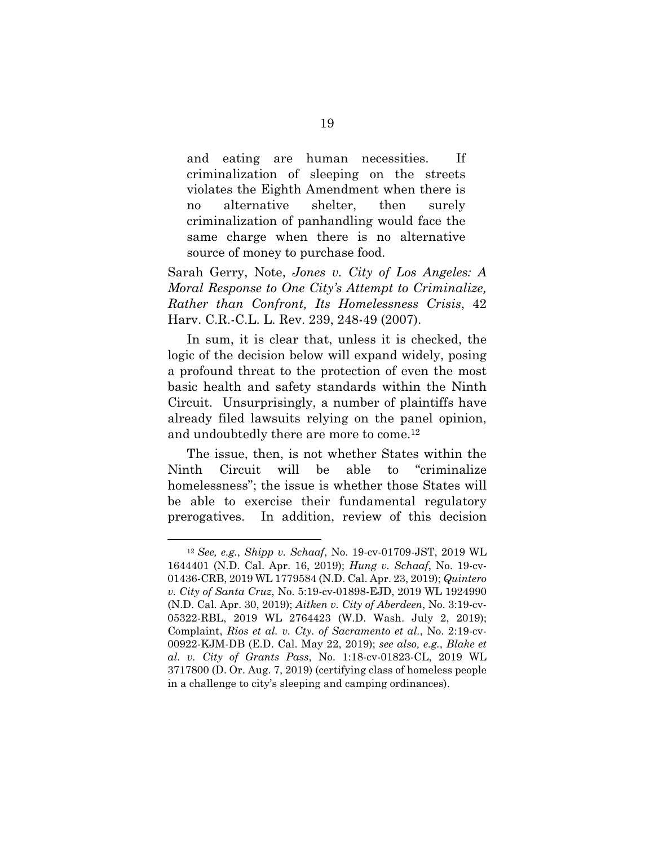and eating are human necessities. If criminalization of sleeping on the streets violates the Eighth Amendment when there is no alternative shelter, then surely criminalization of panhandling would face the same charge when there is no alternative source of money to purchase food.

Sarah Gerry, Note, *Jones v. City of Los Angeles: A Moral Response to One City's Attempt to Criminalize, Rather than Confront, Its Homelessness Crisis*, 42 Harv. C.R.-C.L. L. Rev. 239, 248-49 (2007).

In sum, it is clear that, unless it is checked, the logic of the decision below will expand widely, posing a profound threat to the protection of even the most basic health and safety standards within the Ninth Circuit. Unsurprisingly, a number of plaintiffs have already filed lawsuits relying on the panel opinion, and undoubtedly there are more to come.12

The issue, then, is not whether States within the Ninth Circuit will be able to "criminalize homelessness"; the issue is whether those States will be able to exercise their fundamental regulatory prerogatives. In addition, review of this decision

<sup>12</sup> *See, e.g.*, *Shipp v. Schaaf*, No. 19-cv-01709-JST, 2019 WL 1644401 (N.D. Cal. Apr. 16, 2019); *Hung v. Schaaf*, No. 19-cv-01436-CRB, 2019 WL 1779584 (N.D. Cal. Apr. 23, 2019); *Quintero v. City of Santa Cruz*, No. 5:19-cv-01898-EJD, 2019 WL 1924990 (N.D. Cal. Apr. 30, 2019); *Aitken v. City of Aberdeen*, No. 3:19-cv-05322-RBL, 2019 WL 2764423 (W.D. Wash. July 2, 2019); Complaint, *Rios et al. v. Cty. of Sacramento et al.*, No. 2:19-cv-00922-KJM-DB (E.D. Cal. May 22, 2019); *see also, e.g.*, *Blake et al. v. City of Grants Pass*, No. 1:18-cv-01823-CL, 2019 WL 3717800 (D. Or. Aug. 7, 2019) (certifying class of homeless people in a challenge to city's sleeping and camping ordinances).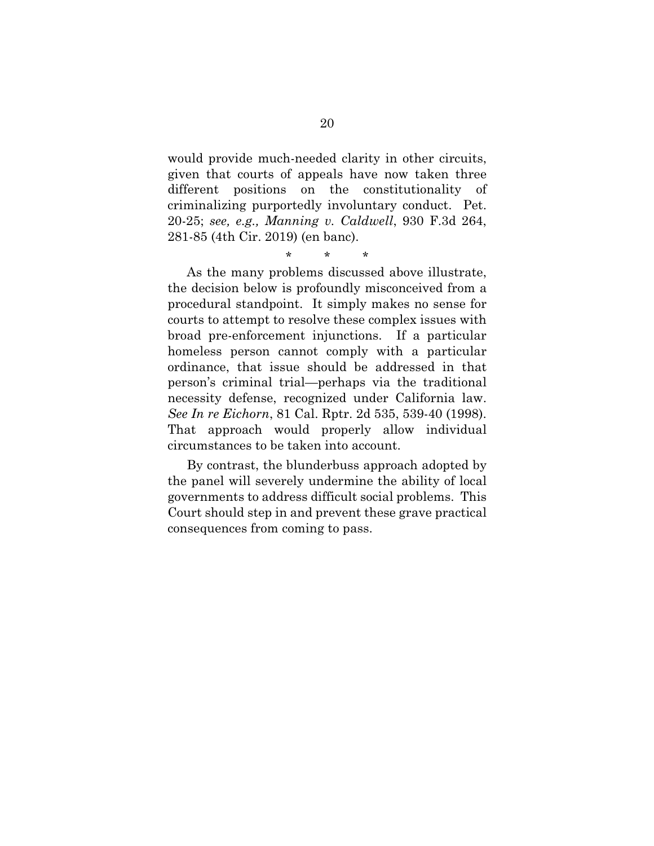would provide much-needed clarity in other circuits, given that courts of appeals have now taken three different positions on the constitutionality of criminalizing purportedly involuntary conduct. Pet. 20-25; *see, e.g., Manning v. Caldwell*, 930 F.3d 264, 281-85 (4th Cir. 2019) (en banc).

\* \* \*

As the many problems discussed above illustrate, the decision below is profoundly misconceived from a procedural standpoint. It simply makes no sense for courts to attempt to resolve these complex issues with broad pre-enforcement injunctions. If a particular homeless person cannot comply with a particular ordinance, that issue should be addressed in that person's criminal trial—perhaps via the traditional necessity defense, recognized under California law. *See In re Eichorn*, 81 Cal. Rptr. 2d 535, 539-40 (1998). That approach would properly allow individual circumstances to be taken into account.

By contrast, the blunderbuss approach adopted by the panel will severely undermine the ability of local governments to address difficult social problems. This Court should step in and prevent these grave practical consequences from coming to pass.